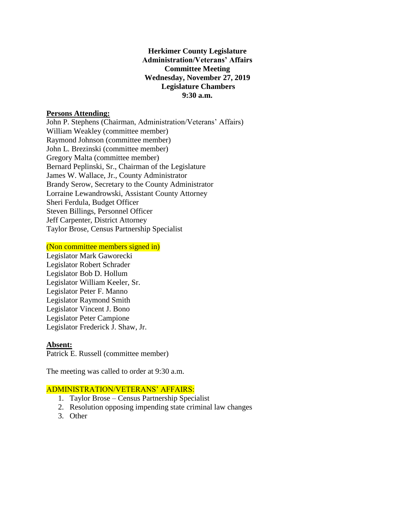## **Herkimer County Legislature Administration/Veterans' Affairs Committee Meeting Wednesday, November 27, 2019 Legislature Chambers 9:30 a.m.**

### **Persons Attending:**

John P. Stephens (Chairman, Administration/Veterans' Affairs) William Weakley (committee member) Raymond Johnson (committee member) John L. Brezinski (committee member) Gregory Malta (committee member) Bernard Peplinski, Sr., Chairman of the Legislature James W. Wallace, Jr., County Administrator Brandy Serow, Secretary to the County Administrator Lorraine Lewandrowski, Assistant County Attorney Sheri Ferdula, Budget Officer Steven Billings, Personnel Officer Jeff Carpenter, District Attorney Taylor Brose, Census Partnership Specialist

#### (Non committee members signed in)

Legislator Mark Gaworecki Legislator Robert Schrader Legislator Bob D. Hollum Legislator William Keeler, Sr. Legislator Peter F. Manno Legislator Raymond Smith Legislator Vincent J. Bono Legislator Peter Campione Legislator Frederick J. Shaw, Jr.

#### **Absent:**

Patrick E. Russell (committee member)

The meeting was called to order at 9:30 a.m.

#### ADMINISTRATION/VETERANS' AFFAIRS:

- 1. Taylor Brose Census Partnership Specialist
- 2. Resolution opposing impending state criminal law changes
- 3. Other